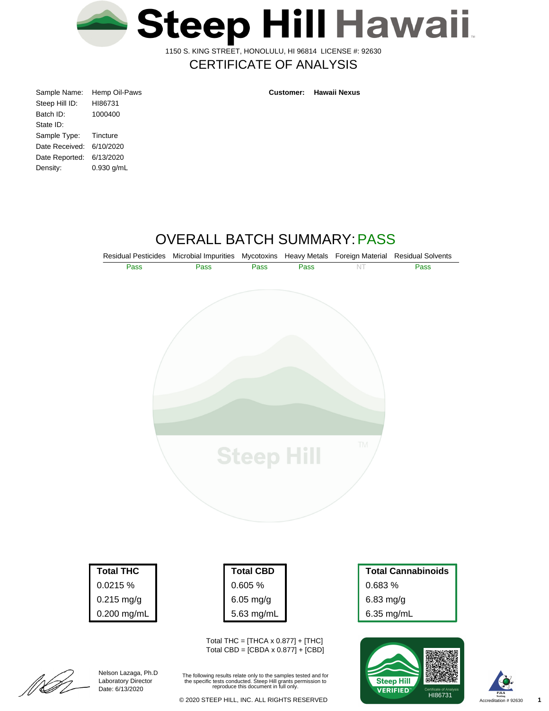

1150 S. KING STREET, HONOLULU, HI 96814 LICENSE #: 92630

## CERTIFICATE OF ANALYSIS

| Sample Name:   | Hemp Oil-Paws |
|----------------|---------------|
| Steep Hill ID: | HI86731       |
| Batch ID:      | 1000400       |
| State ID:      |               |
| Sample Type:   | Tincture      |
| Date Received: | 6/10/2020     |
| Date Reported: | 6/13/2020     |
| Density:       | 0.930 g/mL    |

**Customer: Hawaii Nexus**

## OVERALL BATCH SUMMARY:PASS





The following results relate only to the samples tested and for the specific tests conducted. Steep Hill grants permission to reproduce this document in full only.

Nelson Lazaga, Ph.D Laboratory Director Date: 6/13/2020

[[[[<br>[[[

reproduce this document in tull only.<br>© 2020 STEEP HILL, INC. ALL RIGHTS RESERVED HI86731

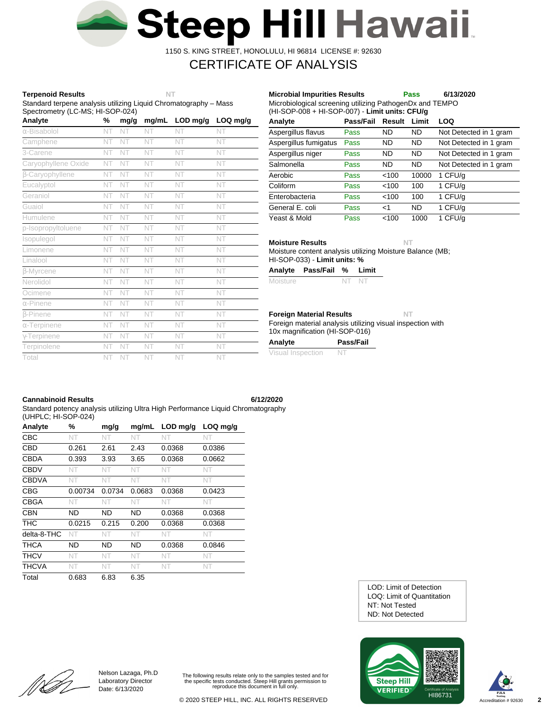

1150 S. KING STREET, HONOLULU, HI 96814 LICENSE #: 92630

## CERTIFICATE OF ANALYSIS

#### **Terpenoid Results NT**

Standard terpene analysis utilizing Liquid Chromatography – Mass Spectrometry (LC-MS; HI-SOP-024)

| Analyte             | %  | mg/g | mg/mL | LOD mg/g | LOQ mg/g |
|---------------------|----|------|-------|----------|----------|
| $\alpha$ -Bisabolol | NT | NT   | NT    | NT       | NT       |
| Camphene            | NT | NT   | NT    | NT       | NT       |
| 3-Carene            | NT | NT   | NT    | NT       | NT       |
| Caryophyllene Oxide | NT | NT   | NT    | NT       | NT       |
| β-Caryophyllene     | NT | NT   | NT    | NT       | NT       |
| Eucalyptol          | NT | NT   | NT    | NT       | NT       |
| Geraniol            | NT | NT   | NT    | NT       | NT       |
| Guaiol              | NT | NT   | NT    | NT       | NT       |
| Humulene            | NT | NT   | NT    | NT       | NT       |
| p-Isopropyltoluene  | NT | NT   | NT    | NT       | NT       |
| Isopulegol          | NT | NT   | NT    | NT       | NT       |
| Limonene            | NT | NT   | NT    | NT       | NT       |
| Linalool            | NT | NT   | NT    | NT       | NT       |
| <b>B-Myrcene</b>    | NT | NT   | NT    | NT       | NT       |
| Nerolidol           | NT | NT   | NT    | NT       | NT       |
| Ocimene             | NT | NT   | NT    | NT       | NT       |
| $\alpha$ -Pinene    | NT | NT   | NT    | NT       | NT       |
| <b>B-Pinene</b>     | NT | NT   | NT    | NT       | NT       |
| $\alpha$ -Terpinene | NT | NT   | NT    | NT       | NT       |
| $\gamma$ -Terpinene | NT | NT   | NT    | NT       | NT       |
| Terpinolene         | NT | NT   | NT    | NT       | NT       |
| Total               | NT | NT   | NT    | NT       | NT       |

| Micropiological screening utilizing PathogenDx and TEMPO<br>(HI-SOP-008 + HI-SOP-007) - Limit units: CFU/g |           |           |           |                        |  |  |  |  |
|------------------------------------------------------------------------------------------------------------|-----------|-----------|-----------|------------------------|--|--|--|--|
| Analyte                                                                                                    | Pass/Fail | Result    | Limit     | LOQ                    |  |  |  |  |
| Aspergillus flavus                                                                                         | Pass      | ND        | ND.       | Not Detected in 1 gram |  |  |  |  |
| Aspergillus fumigatus                                                                                      | Pass      | <b>ND</b> | <b>ND</b> | Not Detected in 1 gram |  |  |  |  |
| Aspergillus niger                                                                                          | Pass      | <b>ND</b> | ND.       | Not Detected in 1 gram |  |  |  |  |
| Salmonella                                                                                                 | Pass      | <b>ND</b> | ND.       | Not Detected in 1 gram |  |  |  |  |
| Aerobic                                                                                                    | Pass      | <100      | 10000     | 1 CFU/g                |  |  |  |  |
| Coliform                                                                                                   | Pass      | <100      | 100       | 1 CFU/g                |  |  |  |  |
| Enterobacteria                                                                                             | Pass      | < 100     | 100       | 1 CFU/g                |  |  |  |  |
| General E. coli                                                                                            | Pass      | ا>        | ND.       | 1 CFU/g                |  |  |  |  |
| Yeast & Mold                                                                                               | Pass      | < 100     | 1000      | 1 CFU/g                |  |  |  |  |

Microbiological screening utilizing PathogenDx and TEMPO

**Microbial Impurities Results Pass 6/13/2020**

**Moisture Results NT**

Moisture content analysis utilizing Moisture Balance (MB; HI-SOP-033) - **Limit units: %**

| Analyte | Pass/Fail % Limit |  |
|---------|-------------------|--|
|         |                   |  |

| Moisture | NT NT |  |
|----------|-------|--|
|          |       |  |

#### **Foreign Material Results NT**

Foreign material analysis utilizing visual inspection with 10x magnification (HI-SOP-016)

| Analyte           | Pass/Fail |
|-------------------|-----------|
| Visual Inspection | N1        |

### **Cannabinoid Results 6/12/2020**

Standard potency analysis utilizing Ultra High Performance Liquid Chromatography (UHPLC; HI-SOP-024)

| Analyte      | %       | mg/g   | mg/mL     | $LOD$ mg/g | $LOQ$ mg/g |
|--------------|---------|--------|-----------|------------|------------|
| <b>CBC</b>   | NT      | NT     | NT        | NT         | NT         |
| <b>CBD</b>   | 0.261   | 2.61   | 2.43      | 0.0368     | 0.0386     |
| <b>CBDA</b>  | 0.393   | 3.93   | 3.65      | 0.0368     | 0.0662     |
| <b>CBDV</b>  | NT      | NT     | NT        | NT.        | NT         |
| <b>CBDVA</b> | NT      | NT     | NT        | NT         | NT.        |
| <b>CBG</b>   | 0.00734 | 0.0734 | 0.0683    | 0.0368     | 0.0423     |
| <b>CBGA</b>  | NT      | NT     | NT        | NT         | NT.        |
| <b>CBN</b>   | ND      | ND.    | <b>ND</b> | 0.0368     | 0.0368     |
| <b>THC</b>   | 0.0215  | 0.215  | 0.200     | 0.0368     | 0.0368     |
| delta-8-THC  | NT      | NT     | NT        | NT         | NT.        |
| <b>THCA</b>  | ND      | ND     | <b>ND</b> | 0.0368     | 0.0846     |
| <b>THCV</b>  | NT      | NT     | NT        | NT         | NT.        |
| <b>THCVA</b> | NT      | NT     | NT        | NT.        | NT.        |
| Total        | 0.683   | 6.83   | 6.35      |            |            |

ND: Not Detected NT: Not Tested LOQ: Limit of Quantitation LOD: Limit of Detection





[[**] LI** 

Nelson Lazaga, Ph.D Laboratory Director Date: 6/13/2020

The following results relate only to the samples tested and for the specific tests conducted. Steep Hill grants permission to reproduce this document in full only.